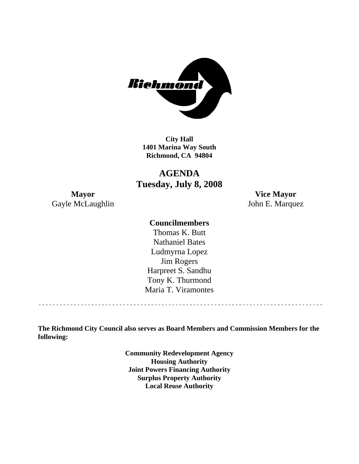

**City Hall 1401 Marina Way South Richmond, CA 94804** 

**AGENDA Tuesday, July 8, 2008** 

**Mayor Vice Mayor**  Gayle McLaughlin John E. Marquez

## **Councilmembers**

Harpreet S. Sandhu Tony K. Thurmond Maria T. Viramontes Thomas K. Butt Nathaniel Bates Ludmyrna Lopez Jim Rogers

**The Richmond City Council also serves as Board Members and Commission Members for the following:** 

> **Community Redevelopment Agency Housing Authority Joint Powers Financing Authority Surplus Property Authority Local Reuse Authority**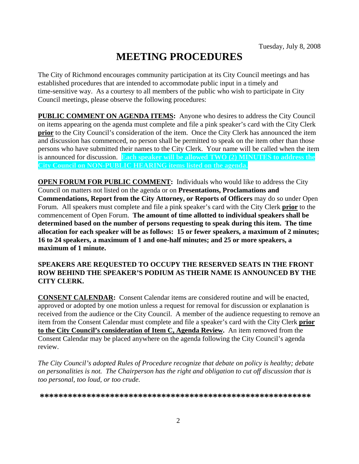# **MEETING PROCEDURES**

The City of Richmond encourages community participation at its City Council meetings and has established procedures that are intended to accommodate public input in a timely and time-sensitive way. As a courtesy to all members of the public who wish to participate in City Council meetings, please observe the following procedures:

**PUBLIC COMMENT ON AGENDA ITEMS:** Anyone who desires to address the City Council on items appearing on the agenda must complete and file a pink speaker's card with the City Clerk **prior** to the City Council's consideration of the item. Once the City Clerk has announced the item and discussion has commenced, no person shall be permitted to speak on the item other than those persons who have submitted their names to the City Clerk. Your name will be called when the item is announced for discussion. **Each speaker will be allowed TWO (2) MINUTES to address the City Council on NON-PUBLIC HEARING items listed on the agenda.** 

**OPEN FORUM FOR PUBLIC COMMENT:** Individuals who would like to address the City Council on matters not listed on the agenda or on **Presentations, Proclamations and Commendations, Report from the City Attorney, or Reports of Officers** may do so under Open Forum. All speakers must complete and file a pink speaker's card with the City Clerk **prior** to the commencement of Open Forum. **The amount of time allotted to individual speakers shall be determined based on the number of persons requesting to speak during this item. The time allocation for each speaker will be as follows: 15 or fewer speakers, a maximum of 2 minutes; 16 to 24 speakers, a maximum of 1 and one-half minutes; and 25 or more speakers, a maximum of 1 minute.** 

### **SPEAKERS ARE REQUESTED TO OCCUPY THE RESERVED SEATS IN THE FRONT ROW BEHIND THE SPEAKER'S PODIUM AS THEIR NAME IS ANNOUNCED BY THE CITY CLERK.**

**CONSENT CALENDAR:** Consent Calendar items are considered routine and will be enacted, approved or adopted by one motion unless a request for removal for discussion or explanation is received from the audience or the City Council. A member of the audience requesting to remove an item from the Consent Calendar must complete and file a speaker's card with the City Clerk **prior to the City Council's consideration of Item C, Agenda Review.** An item removed from the Consent Calendar may be placed anywhere on the agenda following the City Council's agenda review.

*The City Council's adopted Rules of Procedure recognize that debate on policy is healthy; debate on personalities is not. The Chairperson has the right and obligation to cut off discussion that is too personal, too loud, or too crude.* 

**\*\*\*\*\*\*\*\*\*\*\*\*\*\*\*\*\*\*\*\*\*\*\*\*\*\*\*\*\*\*\*\*\*\*\*\*\*\*\*\*\*\*\*\*\*\*\*\*\*\*\*\*\*\*\*\*\*\***